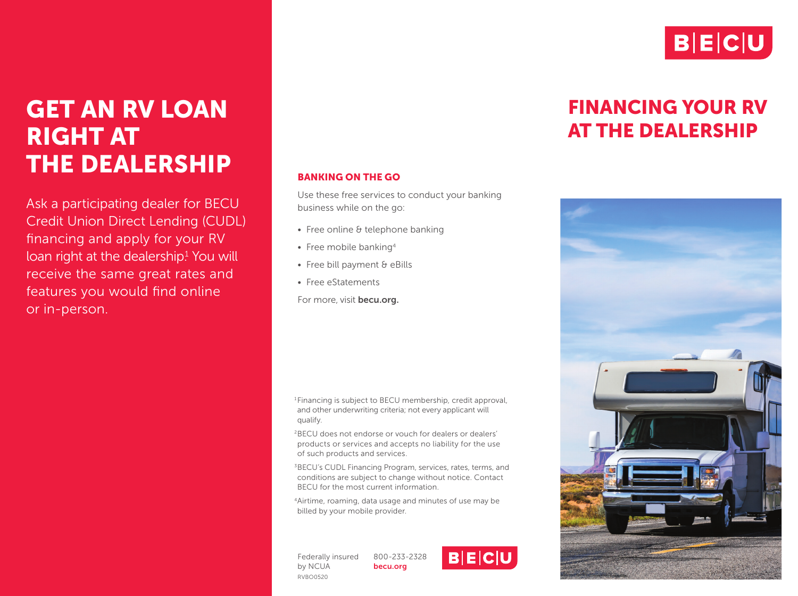

## GET AN RV LOAN RIGHT AT THE DEALERSHIP

Ask a participating dealer for BECU Credit Union Direct Lending (CUDL) financing and apply for your RV loan right at the dealership<sup>1</sup> You will receive the same great rates and features you would find online or in-person.

#### BANKING ON THE GO

Use these free services to conduct your banking business while on the go:

- Free online & telephone banking
- Free mobile banking<sup>4</sup>
- Free bill payment & eBills
- Free eStatements
- For more, visit becu.org.

1Financing is subject to BECU membership, credit approval, and other underwriting criteria; not every applicant will qualify.

2BECU does not endorse or vouch for dealers or dealers' products or services and accepts no liability for the use of such products and services.

<sup>3</sup>BECU's CUDL Financing Program, services, rates, terms, and conditions are subject to change without notice. Contact BECU for the most current information.

4Airtime, roaming, data usage and minutes of use may be billed by your mobile provider.

Federally insured by NCUA RVBO0520 800-233-2328 becu.org



### FINANCING YOUR RV AT THE DEALERSHIP